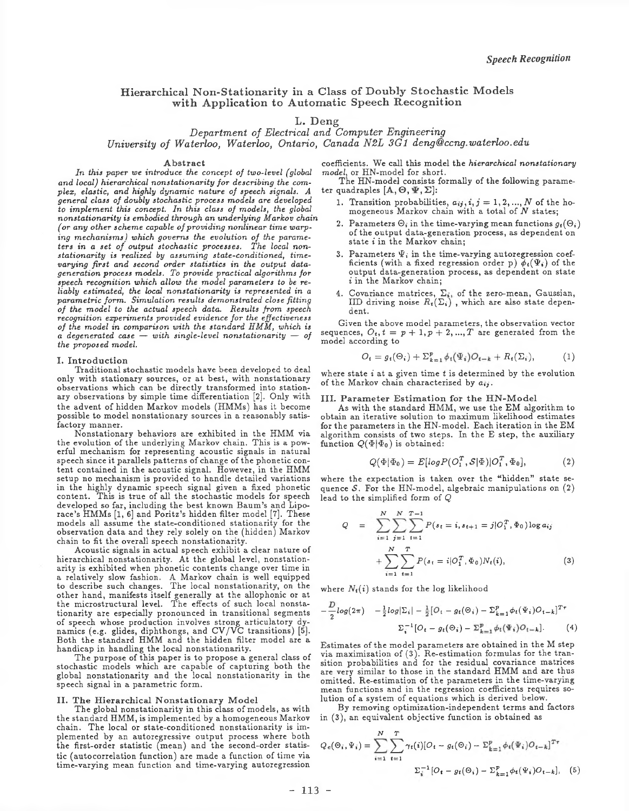## **Hierarchical Non-Stationarity in a Class of Doubly Stochastic Models** with Application to Automatic Speech Recognition

# L. Deng

*Department of Electrical and Computer Engineering University of Waterloo, Waterloo, Ontario, Canada N2L 3G1 [deng@ccng.waterloo.edu](mailto:deng@ccng.waterloo.edu)*

#### **Abstract**

*In this paper we introduce the concept of two-level (global and local) hierarchical nonstationarity for describing the complex, elastic, and highly dynamic nature of speech signals. A general class of doubly stochastic process models are developed to implement this concept. In this class of models, the global nonstationarity is embodied through an underlying Markov chain (or any other scheme capable of providing nonlinear time warping mechanisms) which governs the evolution of the parameters in a set of output stochastic processes. The local nonstationarity is realized by assuming state-conditioned, timevarying first and second order statistics in the output datageneration process models. To provide practical algorithms for speech recognition which allow the model parameters to be reliably estimated, the local nonstationarity is represented in a parametric form. Simulation results demonstrated close fitting of the model to the actual speech data. Results from speech recognition experiments provided evidence for the effectiveness of the model in comparison with the standard HMM, which is a degenerated case* — *with single-level nonstationarity* — *of the proposed model.*

#### **I. Introduction**

Traditional stochastic models have been developed to deal only with stationary sources, or at best, with nonstationary observations which can be directly transformed into stationary observations by simple time differentiation [2], Only with the advent of hidden Markov models (HMMs) has it become possible to model nonstationary sources in a reasonably satisfactory manner.

Nonstationary behaviors are exhibited in the HMM via the evolution of the underlying Markov chain. This is a powerful mechanism for representing acoustic signals in natural speech since it parallels patterns of change of the phonetic content contained in the acoustic signal. However, in the HMM setup no mechanism is provided to handle detailed variations in the highly dynamic speech signal given a fixed phonetic content. This is true of all the stochastic models for speech developed so far, including the best known Baum's and Liporace's HMMs [1, 6] and Poritz's hidden filter model [7], These models all assume the state-conditioned stationarity for the observation data and they rely solely on the (hidden) Markov chain to fit the overall speech nonstationarity.

Acoustic signals in actual speech exhibit a clear nature of hierarchical nonstationarity. At the global level, nonstationarity is exhibited when phonetic contents change over time in a relatively slow fashion. A Markov chain is well equipped to describe such changes. The local nonstationarity, on the other hand, manifests itself generally at the allophonic or at the microstructural level. The effects of such local nonstationarity are especially pronounced in transitional segments of speech whose production involves strong articulatory dynamics (e.g. glides, diphthongs, and CV/VC transitions) [5]. Both the standard HMM and the hidden filter model are a handicap in handling the local nonstationarity.

The purpose of this paper is to propose a general class of stochastic models which are capable of capturing both the global nonstationarity and the local nonstationarity in the speech signal in a parametric form.

### **II. The Hierarchical Nonstationary Model**

The global nonstationarity in this class of models, as with the standard HMM, is implemented by a homogeneous Markov chain. The local or state-conditioned nonstationarity is implemented by an autoregressive output process where both the first-order statistic (mean) and the second-order statistic (autocorrelation function) are made a function of time via time-varying mean function and time-varying autoregression

coefficients. We call this model the *hierarchical nonstationary model*, or HN-model for short.

The HN-model consists formally of the following parameter quadraples  $[A, \Theta, \Psi, \Sigma]$ :

- 1. Transition probabilities,  $a_{ij}, i, j = 1, 2, ..., N$  of the homogeneous Markov chain with a total of *N* states;
- 2. Parameters  $\Theta_i$  in the time-varying mean functions  $g_t(\Theta_i)$ of the output data-generation process, as dependent on state i in the Markov chain;
- 3. Parameters  $\Psi_i$  in the time-varying autoregression coefficients (with a fixed regression order p)  $\phi_t(\Psi_i)$  of the output data-generation process, as dependent on state *i* in the Markov chain;
- 4. Covariance matrices,  $\Sigma_i$ , of the zero-mean, Gaussian, IID driving noise  $R_{t}(\Sigma_{i})$  , which are also state dependent.

Given the above model parameters, the observation vector sequences,  $O_t$ ,  $t = p + 1, p + 2, ..., T$  are generated from the model according to

$$
O_t = g_t(\Theta_i) + \Sigma_{k=1}^p \phi_t(\Psi_i) O_{t-k} + R_t(\Sigma_i), \tag{1}
$$

where state *i* at a given time *t* is determined by the evolution of the Markov chain characterized by  $a_{ij}$ .

#### **III. Parameter Estimation for the HN-M odel**

As with the standard HMM, we use the EM algorithm to obtain an iterative solution to maximum likelihood estimates for the parameters in the HN-model. Each iteration in the EM algorithm consists of two steps. In the E step, the auxiliary function  $Q(\Phi | \Phi_0)$  is obtained:

$$
Q(\Phi|\Phi_0) = E[log P(O_1^T, \mathcal{S}|\Phi)|O_1^T, \Phi_0], \tag{2}
$$

where the expectation is taken over the "hidden" state sequence *S.* For the HN-model, algebraic manipulations on (2) lead to the simplified form of *Q*

$$
Q = \sum_{i=1}^{N} \sum_{j=1}^{N} \sum_{t=1}^{T-1} P(s_t = i, s_{t+1} = j | O_1^T, \Phi_0) \log a_{ij}
$$

$$
+ \sum_{i=1}^{N} \sum_{t=1}^{T} P(s_t = i | O_1^T, \Phi_0) N_t(i), \qquad (3)
$$

where  $N_t(i)$  stands for the log likelihood

$$
-\frac{D}{2}log(2\pi) -\frac{1}{2}log|\Sigma_i| - \frac{1}{2}[O_t - g_t(\Theta_i) - \Sigma_{k=1}^p \phi_t(\Psi_i)O_{t-k}]^T
$$

$$
\Sigma_i^{-1}[O_t - g_t(\Theta_i) - \Sigma_{k=1}^p \phi_t(\Psi_i)O_{t-k}].
$$
 (4)

Estimates of the model parameters are obtained in the M step via maximization of (3). Re-estimation formulas for the transition probabilities and for the residual covariance matrices are very similar to those in the standard HMM and are thus omitted. Re-estimation of the parameters in the time-varying mean functions and in the regression coefficients requires solution of a system of equations which is derived below.

By removing optimization-independent terms and factors in (3), an equivalent objective function is obtained as

$$
Q_e(\Theta_i, \Psi_i) = \sum_{i=1}^{N} \sum_{t=1}^{T} \gamma_t(i) [O_t - g_t(\Theta_i) - \Sigma_{k=1}^p \phi_t(\Psi_i) O_{t-k}]^{T\tau}
$$

$$
\Sigma_i^{-1} [O_t - g_t(\Theta_i) - \Sigma_{k=1}^p \phi_t(\Psi_i) O_{t-k}], \quad (5)
$$